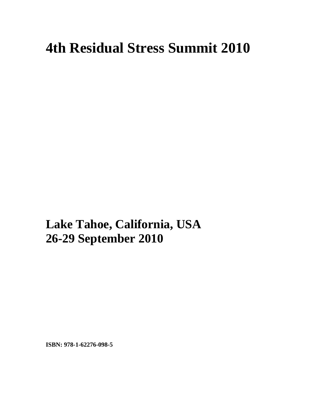## **4th Residual Stress Summit 2010**

**xxx Lake Tahoe, California, USA 26-29 September 2010** 

**ISBN: 978-1-62276-098-5**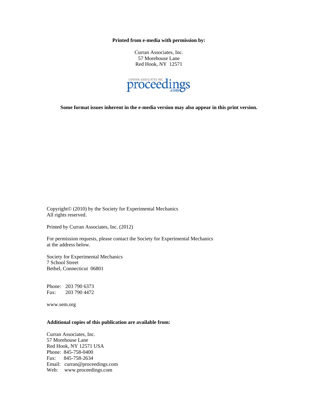**Printed from e-media with permission by:** 

Curran Associates, Inc. 57 Morehouse Lane Red Hook, NY 12571



**Some format issues inherent in the e-media version may also appear in this print version.** 

Copyright© (2010) by the Society for Experimental Mechanics All rights reserved.

Printed by Curran Associates, Inc. (2012)

For permission requests, please contact the Society for Experimental Mechanics at the address below.

Society for Experimental Mechanics 7 School Street Bethel, Connecticut 06801

Phone: 203 790 6373 Fax: 203 790 4472

www.sem.org

## **Additional copies of this publication are available from:**

Curran Associates, Inc. 57 Morehouse Lane Red Hook, NY 12571 USA Phone: 845-758-0400 Fax: 845-758-2634 Email: curran@proceedings.com Web: www.proceedings.com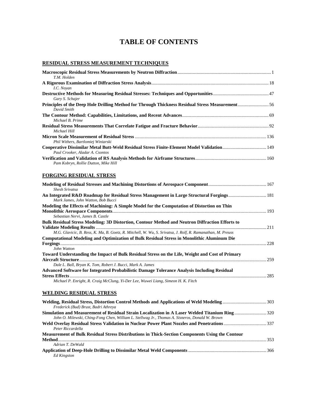## **TABLE OF CONTENTS**

## **RESIDUAL STRESS MEASUREMENT TECHNIQUES**

*Peter Riccardella* 

*Adrian T. DeWald* 

*Ed Kingston* 

| T.M. Holden                                                                                                                                                                                       |  |
|---------------------------------------------------------------------------------------------------------------------------------------------------------------------------------------------------|--|
| I.C. Noyan                                                                                                                                                                                        |  |
| Gary S. Schajer                                                                                                                                                                                   |  |
| Principles of the Deep Hole Drilling Method for Through Thickness Residual Stress Measurement56<br>David Smith                                                                                    |  |
| Michael B. Prime                                                                                                                                                                                  |  |
| Michael Hill                                                                                                                                                                                      |  |
| Phil Withers, Bartlomiej Winiarski                                                                                                                                                                |  |
| Cooperative Dissimilar Metal Butt-Weld Residual Stress Finite-Element Model Validation 149<br>Paul Crooker, Aladar A. Csontos                                                                     |  |
| Pam Kobryn, Rollie Dutton, Mike Hill                                                                                                                                                              |  |
| FORGING RESIDUAL STRESS                                                                                                                                                                           |  |
| <b>Shesh Srivatsa</b>                                                                                                                                                                             |  |
| An Integrated R&D Roadmap for Residual Stress Management in Large Structural Forgings 181<br>Mark James, John Watton, Bob Bucci                                                                   |  |
| Modeling the Effects of Machining: A Simple Model for the Computation of Distortion on Thin                                                                                                       |  |
|                                                                                                                                                                                                   |  |
| Sebastian Nervi, James B. Castle<br>Bulk Residual Stress Modeling: 3D Distortion, Contour Method and Neutron Diffraction Efforts to                                                               |  |
|                                                                                                                                                                                                   |  |
| M.G. Glavicic, B. Ress, K. Ma, B. Goetz, R. Mitchell, W. Wu, S. Srivatsa, J. Rolf, R. Ramanathan, M. Preuss                                                                                       |  |
| Computational Modeling and Optimization of Bulk Residual Stress in Monolithic Aluminum Die                                                                                                        |  |
|                                                                                                                                                                                                   |  |
| John Watton                                                                                                                                                                                       |  |
| Toward Understanding the Impact of Bulk Residual Stress on the Life, Weight and Cost of Primary                                                                                                   |  |
| Dale L. Ball, Bryan K. Tom, Robert J. Bucci, Mark A. James                                                                                                                                        |  |
| Advanced Software for Integrated Probabilistic Damage Tolerance Analysis Including Residual                                                                                                       |  |
|                                                                                                                                                                                                   |  |
| Michael P. Enright, R. Craig McClung, Yi-Der Lee, Wuwei Liang, Simeon H. K. Fitch                                                                                                                 |  |
| <b>WELDING RESIDUAL STRESS</b>                                                                                                                                                                    |  |
| Welding, Residual Stress, Distortion Control Methods and Applications of Weld Modeling303<br>Frederick (Bud) Brust, Badri Athreya                                                                 |  |
| Simulation and Measurement of Residual Strain Localization in A Laser Welded Titanium Ring 320<br>John O. Milewski, Ching-Fong Chen, William L. Stellwag Jr., Thomas A. Sisneros, Donald W. Brown |  |
|                                                                                                                                                                                                   |  |

**Measurement of Bulk Residual Stress Distributions in Thick-Section Components Using the Contour** 

**Method**................................................................................................................................................................................ 353

**Application of Deep-Hole Drilling to Dissimilar Metal Weld Components**.................................................................. 366